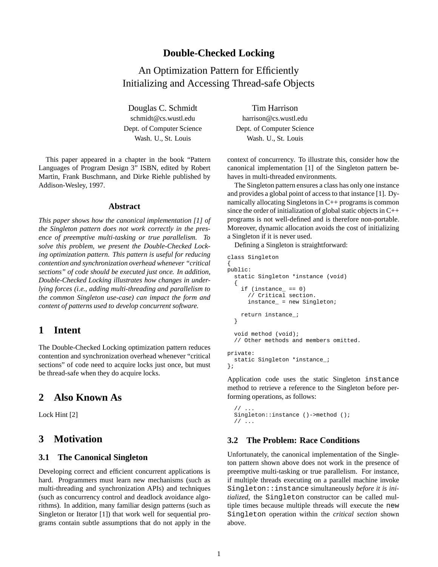## **Double-Checked Locking**

An Optimization Pattern for Efficiently Initializing and Accessing Thread-safe Objects

Douglas C. Schmidt Tim Harrison Dept. of Computer Science Dept. of Computer Science

This paper appeared in a chapter in the book "Pattern Languages of Program Design 3" ISBN, edited by Robert Martin, Frank Buschmann, and Dirke Riehle published by Addison-Wesley, 1997.

#### **Abstract**

*This paper shows how the canonical implementation [1] of the Singleton pattern does not work correctly in the presence of preemptive multi-tasking or true parallelism. To solve this problem, we present the Double-Checked Locking optimization pattern. This pattern is useful for reducing contention and synchronization overhead whenever "critical sections" of code should be executed just once. In addition, Double-Checked Locking illustrates how changes in underlying forces (i.e., adding multi-threading and parallelism to the common Singleton use-case) can impact the form and content of patterns used to develop concurrent software.*

## **1 Intent**

The Double-Checked Locking optimization pattern reduces contention and synchronization overhead whenever "critical sections" of code need to acquire locks just once, but must be thread-safe when they do acquire locks.

## **2 Also Known As**

Lock Hint [2]

## **3 Motivation**

#### **3.1 The Canonical Singleton**

Developing correct and efficient concurrent applications is hard. Programmers must learn new mechanisms (such as multi-threading and synchronization APIs) and techniques (such as concurrency control and deadlock avoidance algorithms). In addition, many familiar design patterns (such as Singleton or Iterator [1]) that work well for sequential programs contain subtle assumptions that do not apply in the

schmidt@cs.wustl.edu harrison@cs.wustl.edu Wash. U., St. Louis Wash. U., St. Louis

> context of concurrency. To illustrate this, consider how the canonical implementation [1] of the Singleton pattern behaves in multi-threaded environments.

> The Singleton pattern ensures a class has only one instance and provides a global point of access to that instance [1]. Dynamically allocating Singletons in C++ programs is common since the order of initialization of global static objects in  $C++$ programs is not well-defined and is therefore non-portable. Moreover, dynamic allocation avoids the cost of initializing a Singleton if it is never used.

Defining a Singleton is straightforward:

```
class Singleton
{
public:
  static Singleton *instance (void)
  {
    if (instance_ == 0)// Critical section.
      instance_ = new Singleton;
    return instance_;
  }
  void method (void);
  // Other methods and members omitted.
private:
  static Singleton *instance_;
};
```
Application code uses the static Singleton instance method to retrieve a reference to the Singleton before performing operations, as follows:

```
11Singleton::instance ()->method ();
// ...
```
#### **3.2 The Problem: Race Conditions**

Unfortunately, the canonical implementation of the Singleton pattern shown above does not work in the presence of preemptive multi-tasking or true parallelism. For instance, if multiple threads executing on a parallel machine invoke Singleton::instance simultaneously *before it is initialized*, the Singleton constructor can be called multiple times because multiple threads will execute the new Singleton operation within the *critical section* shown above.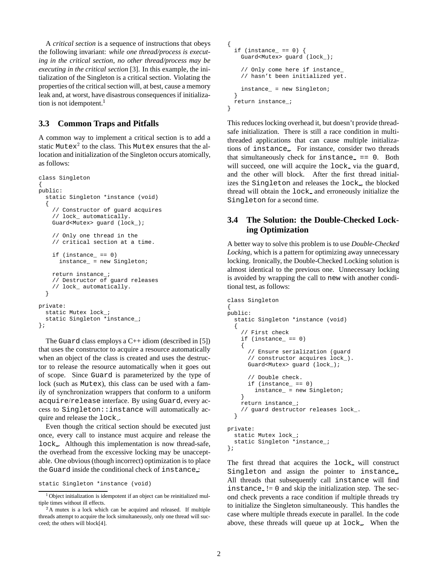A *critical section* is a sequence of instructions that obeys the following invariant: *while one thread/process is executing in the critical section, no other thread/process may be executing in the critical section* [3]. In this example, the initialization of the Singleton is a critical section. Violating the properties of the critical section will, at best, cause a memory leak and, at worst, have disastrous consequences if initialization is not idempotent. $<sup>1</sup>$ </sup>

#### **3.3 Common Traps and Pitfalls**

A common way to implement a critical section is to add a static Mutex $^2$  to the class. This Mutex ensures that the allocation and initialization of the Singleton occurs atomically, as follows:

```
class Singleton
{
public:
 static Singleton *instance (void)
  {
    // Constructor of guard acquires
    // lock_ automatically.
    Guard<Mutex> guard (lock_);
    // Only one thread in the
    // critical section at a time.
    if (instance_ == 0)
      instance_ = new Singleton;
    return instance_;
    // Destructor of guard releases
    // lock_ automatically.
  }
private:
  static Mutex lock;
  static Singleton *instance_;
};
```
The Guard class employs a  $C++$  idiom (described in [5]) that uses the constructor to acquire a resource automatically when an object of the class is created and uses the destructor to release the resource automatically when it goes out of scope. Since Guard is parameterized by the type of lock (such as Mutex), this class can be used with a family of synchronization wrappers that conform to a uniform acquire/release interface. By using Guard, every access to Singleton::instance will automatically acquire and release the lock...

Even though the critical section should be executed just once, every call to instance must acquire and release the lock . Although this implementation is now thread-safe, the overhead from the excessive locking may be unacceptable. One obvious (though incorrect) optimization is to place the Guard inside the conditional check of instance :

```
{
 if (instance_ == 0) {
   Guard<Mutex> guard (lock_);
    // Only come here if instance_
    // hasn't been initialized yet.
    instance_ = new Singleton;
 }
 return instance_;
}
```
This reduces locking overhead it, but doesn't provide threadsafe initialization. There is still a race condition in multithreaded applications that can cause multiple initializations of instance . For instance, consider two threads that simultaneously check for  $instance_ == 0$ . Both will succeed, one will acquire the lock via the guard, and the other will block. After the first thread initializes the Singleton and releases the lock , the blocked thread will obtain the lock and erroneously initialize the Singleton for a second time.

#### **3.4 The Solution: the Double-Checked Locking Optimization**

A better way to solve this problem is to use *Double-Checked Locking*, which is a pattern for optimizing away unnecessary locking. Ironically, the Double-Checked Locking solution is almost identical to the previous one. Unnecessary locking is avoided by wrapping the call to new with another conditional test, as follows:

```
class Singleton
{
public:
  static Singleton *instance (void)
  {
    // First check
    if (instance_ == 0)
    {
      // Ensure serialization (guard
      // constructor acquires lock_).
      Guard<Mutex> guard (lock_);
      // Double check.
      if (instance == 0)instance_ = new Singleton;
    }
    return instance_;
    // guard destructor releases lock_.
  }
private:
  static Mutex lock_;
  static Singleton *instance_;
};
```
The first thread that acquires the lock will construct Singleton and assign the pointer to instance. All threads that subsequently call instance will find  $instance$  != 0 and skip the initialization step. The second check prevents a race condition if multiple threads try to initialize the Singleton simultaneously. This handles the case where multiple threads execute in parallel. In the code above, these threads will queue up at lock . When the

static Singleton \*instance (void)

<sup>&</sup>lt;sup>1</sup> Object initialization is idempotent if an object can be reinitialized multiple times without ill effects.

<sup>&</sup>lt;sup>2</sup>A mutex is a lock which can be acquired and released. If multiple threads attempt to acquire the lock simultaneously, only one thread will succeed; the others will block[4].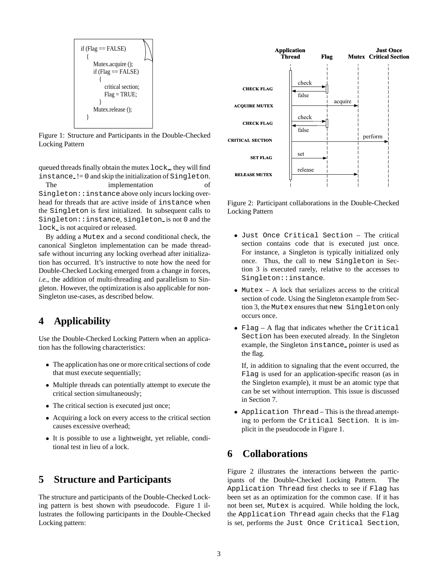\n
$$
\text{if (Flag == FALSE)} \\
 \{\n \begin{array}{c}\n \text{Mutex.acquire } () \\
 \text{if (Flag == FALSE)} \\
 \text{if (Flag = FALSE)} \\
 \text{Find } 1 \text{ action}; \\
 \text{Flag = TRUE}; \\
 \text{Mutex. release } () \\
 \end{array}\n \right\}
$$
\n

Figure 1: Structure and Participants in the Double-Checked Locking Pattern

queued threads finally obtain the mutex lock , they will find instance != 0 and skip the initialization of Singleton.

The implementation of Singleton::instance above only incurs locking overhead for threads that are active inside of instance when the Singleton is first initialized. In subsequent calls to Singleton::instance, singleton is not 0 and the lock is not acquired or released.

By adding a Mutex and a second conditional check, the canonical Singleton implementation can be made threadsafe without incurring any locking overhead after initialization has occurred. It's instructive to note how the need for Double-Checked Locking emerged from a change in forces, *i.e.*, the addition of multi-threading and parallelism to Singleton. However, the optimization is also applicable for non-Singleton use-cases, as described below.

# **4 Applicability**

Use the Double-Checked Locking Pattern when an application has the following characteristics:

- The application has one or more critical sections of code that must execute sequentially;
- Multiple threads can potentially attempt to execute the critical section simultaneously;
- The critical section is executed just once;
- Acquiring a lock on every access to the critical section causes excessive overhead;
- It is possible to use a lightweight, yet reliable, conditional test in lieu of a lock.

## **5 Structure and Participants**

The structure and participants of the Double-Checked Locking pattern is best shown with pseudocode. Figure 1 illustrates the following participants in the Double-Checked Locking pattern:



Figure 2: Participant collaborations in the Double-Checked Locking Pattern

- Just Once Critical Section The critical section contains code that is executed just once. For instance, a Singleton is typically initialized only once. Thus, the call to new Singleton in Section 3 is executed rarely, relative to the accesses to Singleton::instance.
- Mutex A lock that serializes access to the critical section of code. Using the Singleton example from Section 3, the Mutex ensures that new Singleton only occurs once.
- Flag A flag that indicates whether the Critical Section has been executed already. In the Singleton example, the Singleton instance pointer is used as the flag.

If, in addition to signaling that the event occurred, the Flag is used for an application-specific reason (as in the Singleton example), it must be an atomic type that can be set without interruption. This issue is discussed in Section 7.

 Application Thread – This is the thread attempting to perform the Critical Section. It is implicit in the pseudocode in Figure 1.

## **6 Collaborations**

Figure 2 illustrates the interactions between the participants of the Double-Checked Locking Pattern. The Application Thread first checks to see if Flag has been set as an optimization for the common case. If it has not been set, Mutex is acquired. While holding the lock, the Application Thread again checks that the Flag is set, performs the Just Once Critical Section,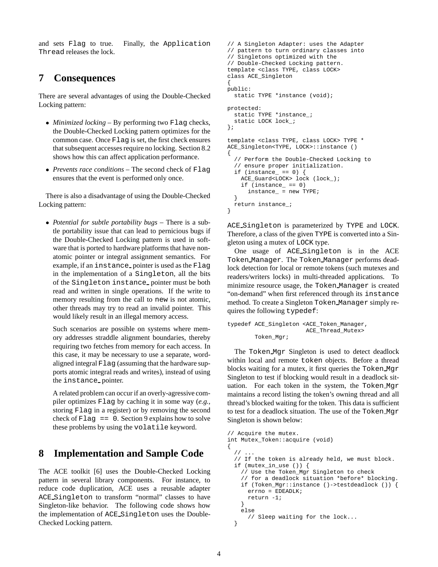and sets Flag to true. Finally, the Application Thread releases the lock.

## **7 Consequences**

There are several advantages of using the Double-Checked Locking pattern:

- *Minimized locking* By performing two Flag checks, the Double-Checked Locking pattern optimizes for the common case. Once Flag is set, the first check ensures that subsequent accesses require no locking. Section 8.2 shows how this can affect application performance.
- *Prevents race conditions* The second check of Flag ensures that the event is performed only once.

There is also a disadvantage of using the Double-Checked Locking pattern:

 *Potential for subtle portability bugs* – There is a subtle portability issue that can lead to pernicious bugs if the Double-Checked Locking pattern is used in software that is ported to hardware platforms that have nonatomic pointer or integral assignment semantics. For example, if an instance pointer is used as the Flag in the implementation of a Singleton, all the bits of the Singleton instance pointer must be both read and written in single operations. If the write to memory resulting from the call to new is not atomic, other threads may try to read an invalid pointer. This would likely result in an illegal memory access.

Such scenarios are possible on systems where memory addresses straddle alignment boundaries, thereby requiring two fetches from memory for each access. In this case, it may be necessary to use a separate, wordaligned integral Flag (assuming that the hardware supports atomic integral reads and writes), instead of using the instance pointer.

A related problem can occur if an overly-agressive compiler optimizes Flag by caching it in some way (*e.g.,* storing Flag in a register) or by removing the second check of  $_{\text{Flag}}$  == 0. Section 9 explains how to solve these problems by using the volatile keyword.

## **8 Implementation and Sample Code**

The ACE toolkit [6] uses the Double-Checked Locking pattern in several library components. For instance, to reduce code duplication, ACE uses a reusable adapter ACE Singleton to transform "normal" classes to have Singleton-like behavior. The following code shows how the implementation of ACE Singleton uses the Double-Checked Locking pattern.

```
// A Singleton Adapter: uses the Adapter
// pattern to turn ordinary classes into
// Singletons optimized with the
// Double-Checked Locking pattern.
template <class TYPE, class LOCK>
class ACE_Singleton
{
public:
  static TYPE *instance (void);
protected:
  static TYPE *instance_;
  static LOCK lock_;
};
template <class TYPE, class LOCK> TYPE *
ACE_Singleton<TYPE, LOCK>::instance ()
{
  // Perform the Double-Checked Locking to
  // ensure proper initialization.
  if (instance == 0) {
    ACE_Guard<LOCK> lock (lock_);
    if (instance_ == 0)
      instance_ = new TYPE;
  }
  return instance_;
}
```
ACE Singleton is parameterized by TYPE and LOCK. Therefore, a class of the given TYPE is converted into a Singleton using a mutex of LOCK type.

One usage of ACE Singleton is in the ACE Token Manager. The Token Manager performs deadlock detection for local or remote tokens (such mutexes and readers/writers locks) in multi-threaded applications. To minimize resource usage, the Token Manager is created "on-demand" when first referenced through its instance method. To create a Singleton Token Manager simply requires the following typedef:

```
typedef ACE_Singleton <ACE_Token_Manager,
                       ACE_Thread_Mutex>
       Token_Mgr;
```
The Token Mgr Singleton is used to detect deadlock within local and remote token objects. Before a thread blocks waiting for a mutex, it first queries the Token Mgr Singleton to test if blocking would result in a deadlock situation. For each token in the system, the Token Mgr maintains a record listing the token's owning thread and all thread's blocked waiting for the token. This data is sufficient to test for a deadlock situation. The use of the Token Mgr Singleton is shown below:

```
// Acquire the mutex.
int Mutex_Token::acquire (void)
{
  \frac{1}{2}// If the token is already held, we must block.
  if (mutex_in_use ()) {
    // Use the Token_Mgr Singleton to check
    // for a deadlock situation *before* blocking.
    if (Token_Mgr::instance ()->testdeadlock ()) {
      error = EDEADLK;
      return -1;
    }
    else
      // Sleep waiting for the lock...
  }
```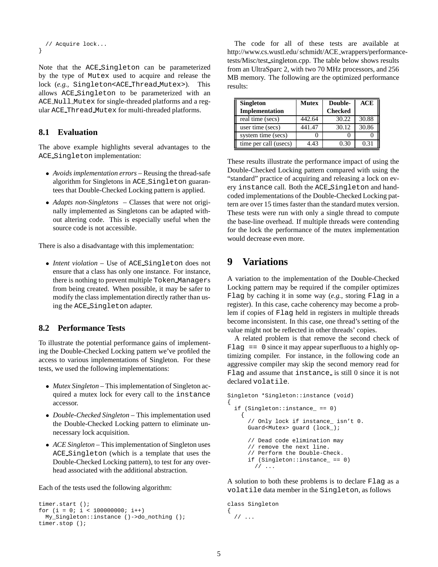```
// Acquire lock...
}
```
Note that the ACE Singleton can be parameterized by the type of Mutex used to acquire and release the lock (*e.g.,* Singleton<ACE Thread Mutex>). This allows ACE Singleton to be parameterized with an ACE Null Mutex for single-threaded platforms and a regular ACE Thread Mutex for multi-threaded platforms.

### **8.1 Evaluation**

The above example highlights several advantages to the ACE Singleton implementation:

- *Avoids implementation errors* Reusing the thread-safe algorithm for Singletons in ACE Singleton guarantees that Double-Checked Locking pattern is applied.
- *Adapts non-Singletons* Classes that were not originally implemented as Singletons can be adapted without altering code. This is especially useful when the source code is not accessible.

There is also a disadvantage with this implementation:

 *Intent violation* – Use of ACE Singleton does not ensure that a class has only one instance. For instance, there is nothing to prevent multiple Token Managers from being created. When possible, it may be safer to modify the class implementation directly rather than using the ACE Singleton adapter.

#### **8.2 Performance Tests**

To illustrate the potential performance gains of implementing the Double-Checked Locking pattern we've profiled the access to various implementations of Singleton. For these tests, we used the following implementations:

- *Mutex Singleton* This implementation of Singleton acquired a mutex lock for every call to the instance accessor.
- *Double-Checked Singleton* This implementation used the Double-Checked Locking pattern to eliminate unnecessary lock acquisition.
- *ACE Singleton* This implementation of Singleton uses ACE Singleton (which is a template that uses the Double-Checked Locking pattern), to test for any overhead associated with the additional abstraction.

Each of the tests used the following algorithm:

```
timer.start ();
for (i = 0; i < 100000000; i++)My_Singleton::instance ()->do_nothing ();
timer.stop ();
```
The code for all of these tests are available at http://www.cs.wustl.edu/ schmidt/ACE wrappers/performancetests/Misc/test singleton.cpp. The table below shows results from an UltraSparc 2, with two 70 MHz processors, and 256 MB memory. The following are the optimized performance results:

| <b>Singleton</b>      | Mutex  | Double-        | ACE   |
|-----------------------|--------|----------------|-------|
| Implementation        |        | <b>Checked</b> |       |
| real time (secs)      | 442.64 | 30.22          | 30.88 |
| user time (secs)      | 441.47 | 30.12          | 30.86 |
| system time (secs)    |        |                |       |
| time per call (usecs) | 4.43   | 0.30           | 0.31  |

These results illustrate the performance impact of using the Double-Checked Locking pattern compared with using the "standard" practice of acquiring and releasing a lock on every instance call. Both the ACE Singleton and handcoded implementations of the Double-Checked Locking pattern are over 15 times faster than the standard mutex version. These tests were run with only a single thread to compute the base-line overhead. If multiple threads were contending for the lock the performance of the mutex implementation would decrease even more.

## **9 Variations**

A variation to the implementation of the Double-Checked Locking pattern may be required if the compiler optimizes Flag by caching it in some way (*e.g.,* storing Flag in a register). In this case, cache coherency may become a problem if copies of Flag held in registers in multiple threads become inconsistent. In this case, one thread's setting of the value might not be reflected in other threads' copies.

A related problem is that remove the second check of  $_{\text{Flag}}$  == 0 since it may appear superfluous to a highly optimizing compiler. For instance, in the following code an aggressive compiler may skip the second memory read for Flag and assume that instance is still 0 since it is not declared volatile.

```
Singleton *Singleton::instance (void)
{
  if (Singleton::instance_ == 0)
    {
      // Only lock if instance_ isn't 0.
      Guard<Mutex> guard (lock_);
      // Dead code elimination may
      // remove the next line.
      // Perform the Double-Check.
      if (Singleton::instance_ == 0)
        // ...
```
A solution to both these problems is to declare Flag as a volatile data member in the Singleton, as follows

```
class Singleton
{
  // ...
```